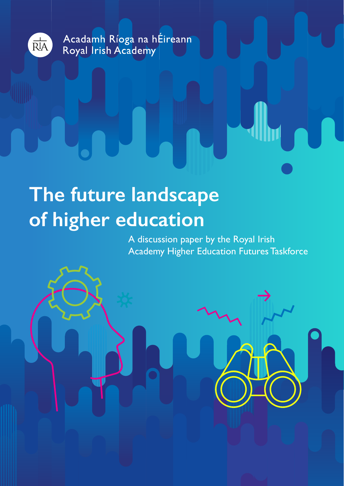

Acadamh Ríoga na hÉireann Royal Irish Academy

# **The future landscape of higher education**

A discussion paper by the Royal Irish Academy Higher Education Futures Taskforce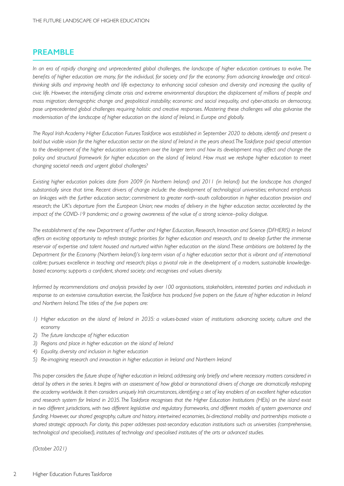## **PREAMBLE**

*In an era of rapidly changing and unprecedented global challenges, the landscape of higher education continues to evolve. The benefits of higher education are many, for the individual, for society and for the economy: from advancing knowledge and criticalthinking skills and improving health and life expectancy to enhancing social cohesion and diversity and increasing the quality of civic life. However, the intensifying climate crisis and extreme environmental disruption; the displacement of millions of people and mass migration; demographic change and geopolitical instability; economic and social inequality, and cyber-attacks on democracy, pose unprecedented global challenges requiring holistic and creative responses. Mastering these challenges will also galvanise the modernisation of the landscape of higher education on the island of Ireland, in Europe and globally.* 

*The Royal Irish Academy Higher Education Futures Taskforce was established in September 2020 to debate, identify and present a bold but viable vision for the higher education sector on the island of Ireland in the years ahead. The Taskforce paid special attention*  to the development of the higher education ecosystem over the longer term and how its development may affect and change the *policy and structural framework for higher education on the island of Ireland. How must we reshape higher education to meet changing societal needs and urgent global challenges?*

*Existing higher education policies date from 2009 (in Northern Ireland) and 2011 (in Ireland) but the landscape has changed substantially since that time. Recent drivers of change include: the development of technological universities; enhanced emphasis on linkages with the further education sector; commitment to greater north–south collaboration in higher education provision and research; the UK's departure from the European Union; new modes of delivery in the higher education sector, accelerated by the impact of the COVID-19 pandemic; and a growing awareness of the value of a strong science–policy dialogue.* 

*The establishment of the new Department of Further and Higher Education, Research, Innovation and Science (DFHERIS) in Ireland offers an exciting opportunity to refresh strategic priorities for higher education and research, and to develop further the immense reservoir of expertise and talent housed and nurtured within higher education on the island. These ambitions are bolstered by the Department for the Economy (Northern Ireland)'s long-term vision of a higher education sector that is vibrant and of international calibre; pursues excellence in teaching and research; plays a pivotal role in the development of a modern, sustainable knowledgebased economy; supports a confident, shared society; and recognises and values diversity.* 

*Informed by recommendations and analysis provided by over 100 organisations, stakeholders, interested parties and individuals in response to an extensive consultation exercise, the Taskforce has produced five papers on the future of higher education in Ireland and Northern Ireland. The titles of the five papers are:*

- *1) Higher education on the island of Ireland in 2035: a values-based vision of institutions advancing society, culture and the economy*
- *2) The future landscape of higher education*
- 3) Regions and place in higher education on the island of Ireland
- *4) Equality, diversity and inclusion in higher education*
- *5) Re-imagining research and innovation in higher education in Ireland and Northern Ireland*

This paper considers the future shape of higher education in Ireland, addressing only briefly and where necessary matters considered in *detail by others in the series. It begins with an assessment of how global or transnational drivers of change are dramatically reshaping the academy worldwide. It then considers uniquely Irish circumstances, identifying a set of key enablers of an excellent higher education and research system for Ireland in 2035. The Taskforce recognises that the Higher Education Institutions (HEIs) on the island exist in two different jurisdictions, with two different legislative and regulatory frameworks, and different models of system governance and funding. However, our shared geography, culture and history, intertwined economies, bi-directional mobility and partnerships motivate a shared strategic approach. For clarity, this paper addresses post-secondary education institutions such as universities (comprehensive, technological and specialised), institutes of technology and specialised institutes of the arts or advanced studies.*

*(October 2021)*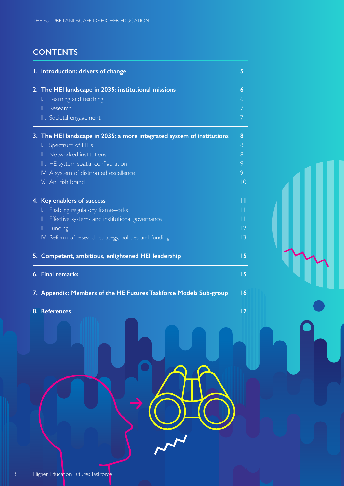## **CONTENTS**

| 1. Introduction: drivers of change                                     | 5           |
|------------------------------------------------------------------------|-------------|
| 2. The HEI landscape in 2035: institutional missions                   | 6           |
| Learning and teaching<br>L.                                            | 6           |
| II. Research                                                           | 7           |
| III. Societal engagement                                               | 7           |
| 3. The HEI landscape in 2035: a more integrated system of institutions | 8           |
| I. Spectrum of HEIs                                                    | 8           |
| II. Networked institutions                                             | 8           |
| III. HE system spatial configuration                                   | 9           |
| IV. A system of distributed excellence                                 | 9           |
| V. An Irish brand                                                      | $ 0\rangle$ |
| 4. Key enablers of success                                             | П           |
| Enabling regulatory frameworks<br>L.                                   | Н           |
| Effective systems and institutional governance<br>II.                  | Н           |
| III. Funding                                                           | $ 2\rangle$ |
| IV. Reform of research strategy, policies and funding                  | 3           |
| 5. Competent, ambitious, enlightened HEI leadership                    | 15          |
| 6. Final remarks                                                       | 15          |
| 7. Appendix: Members of the HE Futures Taskforce Models Sub-group      | 16          |
| 8. References                                                          | 17          |
| CHO                                                                    |             |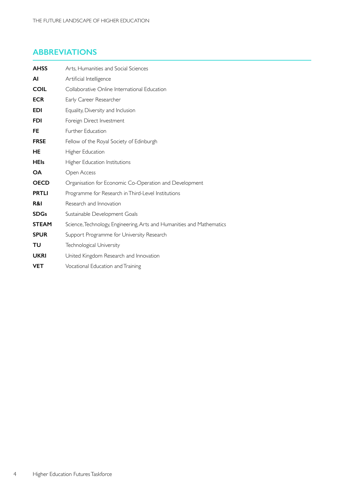## **ABBREVIATIONS**

| <b>AHSS</b>  | Arts, Humanities and Social Sciences                                  |
|--------------|-----------------------------------------------------------------------|
| ΑI           | Artificial Intelligence                                               |
| <b>COIL</b>  | Collaborative Online International Education                          |
| <b>ECR</b>   | Early Career Researcher                                               |
| <b>EDI</b>   | Equality, Diversity and Inclusion                                     |
| <b>FDI</b>   | Foreign Direct Investment                                             |
| FE           | Further Education                                                     |
| <b>FRSE</b>  | Fellow of the Royal Society of Edinburgh                              |
| HE           | Higher Education                                                      |
| <b>HEIs</b>  | Higher Education Institutions                                         |
| <b>OA</b>    | Open Access                                                           |
| <b>OECD</b>  | Organisation for Economic Co-Operation and Development                |
| <b>PRTLI</b> | Programme for Research in Third-Level Institutions                    |
| R&I          | Research and Innovation                                               |
| <b>SDGs</b>  | Sustainable Development Goals                                         |
| <b>STEAM</b> | Science, Technology, Engineering, Arts and Humanities and Mathematics |
| <b>SPUR</b>  | Support Programme for University Research                             |
| ΤU           | Technological University                                              |
| <b>UKRI</b>  | United Kingdom Research and Innovation                                |
| <b>VET</b>   | Vocational Education and Training                                     |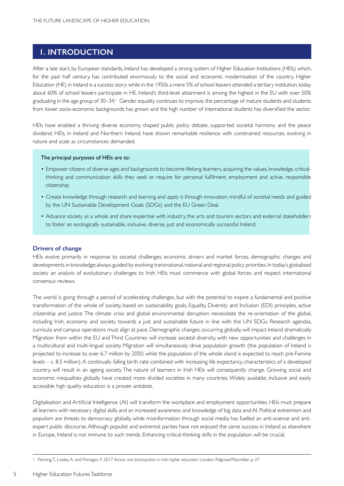## **1. INTRODUCTION**

After a late start, by European standards, Ireland has developed a strong system of Higher Education Institutions (HEIs) which, for the past half century, has contributed enormously to the social and economic modernisation of the country. Higher Education (HE) in Ireland is a success story:while in the 1950s a mere 5% of school leavers attended a tertiary institution,today about 60% of school leavers participate in HE. Ireland's third-level attainment is among the highest in the EU with over 50% graduating in the age group of 30–34. Gender equality continues to improve, the percentage of mature students and students from lower socio-economic backgrounds has grown and the high number of international students has diversified the sector.

HEIs have enabled a thriving diverse economy, shaped public policy debate, supported societal harmony and the peace dividend. HEIs, in Ireland and Northern Ireland, have shown remarkable resilience with constrained resources, evolving in nature and scale as circumstances demanded.

#### The principal purposes of HEIs are to:

- Empower citizens of diverse ages and backgrounds to become lifelong learners, acquiring the values, knowledge, criticalthinking and communication skills they seek or require for personal fulfilment, employment and active, responsible citizenship.
- Create knowledge through research and learning and apply it through innovation, mindful of societal needs and guided by the UN Sustainable Development Goals (SDGs) and the EU Green Deal.
- Advance society as a whole and share expertise with industry, the arts and tourism sectors and external stakeholders to foster an ecologically sustainable, inclusive, diverse, just and economically successful Ireland.

## **Drivers of change**

HEIs evolve primarily in response to societal challenges, economic drivers and market forces, demographic changes and developments in knowledge; always guided by evolving transnational,national and regional policy priorities. In today's globalised society an analysis of evolutionary challenges to Irish HEIs must commence with global forces and respect international consensus reviews.

The world is going through a period of accelerating challenges, but with the potential to inspire a fundamental and positive transformation of the whole of society, based on sustainability goals, Equality, Diversity and Inclusion (EDI) principles, active citizenship and justice. The climate crisis and global environmental disruption necessitate the re-orientation of the global, including Irish, economy and society towards a just and sustainable future in line with the UN SDGs. Research agendas, curricula and campus operations must align at pace. Demographic changes, occurring globally, will impact Ireland dramatically. Migration from within the EU and Third Countries will increase societal diversity, with new opportunities and challenges in a multicultural and multi-lingual society. Migration will simultaneously drive population growth (the population of Ireland is projected to increase to over 6.7 million by 2050, while the population of the whole island is expected to reach pre-Famine levels – c. 8.5 million). A continually falling birth rate combined with increasing life expectancy, characteristics of a developed country, will result in an ageing society. The nature of learners in Irish HEIs will consequently change. Growing social and economic inequalities globally have created more divided societies in many countries. Widely available, inclusive and easily accessible high quality education is a proven antidote.

Digitalisation and Artificial Intelligence (AI) will transform the workplace and employment opportunities. HEIs must prepare all learners with necessary digital skills and an increased awareness and knowledge of big data and AI. Political extremism and populism are threats to democracy globally, while misinformation through social media has fuelled an anti-science and antiexpert public discourse. Although populist and extremist parties have not enjoyed the same success in Ireland as elsewhere in Europe, Ireland is not immune to such trends. Enhancing critical-thinking skills in the population will be crucial.

5

<sup>1</sup> Fleming, T., Loxley, A. and Finnegan. F. 2017 *Access and participation in Irish higher education*. London. Palgrave/Macmillan. p 27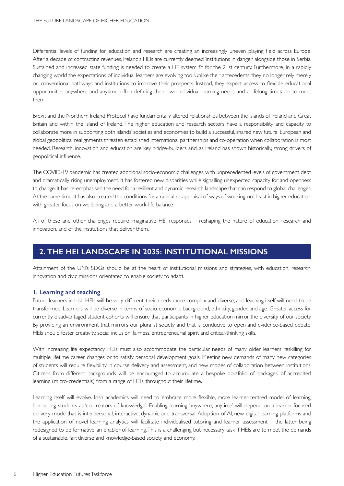Differential levels of funding for education and research are creating an increasingly uneven playing field across Europe. After a decade of contracting revenues, Ireland's HEIs are currently deemed 'institutions in danger' alongside those in Serbia. Sustained and increased state funding is needed to create a HE system fit for the 21st century. Furthermore, in a rapidly changing world the expectations of individual learners are evolving too. Unlike their antecedents, they no longer rely merely on conventional pathways and institutions to improve their prospects. Instead, they expect access to flexible educational opportunities anywhere and anytime, often defining their own individual learning needs and a lifelong timetable to meet them.

Brexit and the Northern Ireland Protocol have fundamentally altered relationships between the islands of Ireland and Great Britain and within the island of Ireland. The higher education and research sectors have a responsibility and capacity to collaborate more in supporting both islands' societies and economies to build a successful, shared new future. European and global geopolitical realignments threaten established international partnerships and co-operation when collaboration is most needed. Research, innovation and education are key bridge-builders and, as Ireland has shown historically, strong drivers of geopolitical influence.

The COVID-19 pandemic has created additional socio-economic challenges, with unprecedented levels of government debt and dramatically rising unemployment. It has fostered new disparities while signalling unexpected capacity for and openness to change. It has re-emphasised the need for a resilient and dynamic research landscape that can respond to global challenges. At the same time, it has also created the conditions for a radical re-appraisal of ways of working, not least in higher education, with greater focus on wellbeing and a better work-life balance.

All of these and other challenges require imaginative HEI responses – reshaping the nature of education, research and innovation, and of the institutions that deliver them.

## **2. THE HEI LANDSCAPE IN 2035: INSTITUTIONAL MISSIONS**

Attainment of the UN's SDGs should be at the heart of institutional missions and strategies, with education, research, innovation and civic missions orientated to enable society to adapt.

## **1. Learning and teaching**

Future learners in Irish HEIs will be very different: their needs more complex and diverse, and learning itself will need to be transformed. Learners will be diverse in terms of socio-economic background, ethnicity, gender and age. Greater access for currently disadvantaged student cohorts will ensure that participants in higher education mirror the diversity of our society. By providing an environment that mirrors our pluralist society and that is conducive to open and evidence-based debate, HEIs should foster creativity, social inclusion, fairness, entrepreneurial spirit and critical-thinking skills.

With increasing life expectancy, HEIs must also accommodate the particular needs of many older learners reskilling for multiple lifetime career changes or to satisfy personal development goals. Meeting new demands of many new categories of students will require flexibility in course delivery and assessment, and new modes of collaboration between institutions. Citizens from different backgrounds will be encouraged to accumulate a bespoke por tfolio of 'packages' of accredited learning (micro-credentials) from a range of HEIs, throughout their lifetime.

Learning itself will evolve. Irish academics will need to embrace more flexible, more learner-centred model of learning, honouring students as 'co-creators of knowledge'. Enabling learning 'anywhere, anytime' will depend on a learner-focused delivery mode that is interpersonal, interactive, dynamic and transversal. Adoption of AI, new digital learning platforms and the application of novel learning analytics will facilitate individualised tutoring and learner assessment – the latter being redesigned to be formative: an enabler of learning. This is a challenging but necessary task if HEIs are to meet the demands of a sustainable, fair, diverse and knowledge-based society and economy.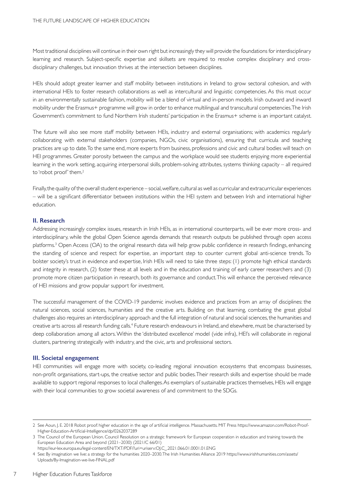Most traditional disciplines will continue in their own right but increasingly they will provide the foundations for interdisciplinary learning and research. Subject-specific expertise and skillsets are required to resolve complex disciplinary and crossdisciplinary challenges, but innovation thrives at the intersection between disciplines.

HEIs should adopt greater learner and staff mobility between institutions in Ireland to grow sectoral cohesion, and with international HEIs to foster research collaborations as well as intercultural and linguistic competencies. As this must occur in an environmentally sustainable fashion, mobility will be a blend of virtual and in-person models. Irish outward and inward mobility under the Erasmus+ programme will grow in order to enhance multilingual and transcultural competencies. The Irish Government's commitment to fund Northern Irish students' participation in the Erasmus+ scheme is an important catalyst.

The future will also see more staff mobility between HEIs, industry and external organisations; with academics regularly collaborating with external stakeholders (companies, NGOs, civic organisations), ensuring that curricula and teaching practices are up to date. To the same end, more experts from business, professions and civic and cultural bodies will teach on HEI programmes. Greater porosity between the campus and the workplace would see students enjoying more experiential learning in the work setting, acquiring interpersonal skills, problem-solving attributes, systems thinking capacity – all required to 'robot proof' them.<sup>2</sup>

Finally, the quality of the overall student experience – social, welfare, cultural as well as curricular and extracurricular experiences – will be a significant differentiator between institutions within the HEI system and between Irish and international higher education.

## **II. Research**

Addressing increasingly complex issues, research in Irish HEIs, as in international counterparts, will be ever more cross- and interdisciplinary, while the global Open Science agenda demands that research outputs be published through open access platforms.3 Open Access (OA) to the original research data will help grow public confidence in research findings, enhancing the standing of science and respect for expertise, an important step to counter current global anti-science trends. To bolster society's trust in evidence and expertise, Irish HEIs will need to take three steps: (1) promote high ethical standards and integrity in research, (2) foster these at all levels and in the education and training of early career researchers and (3) promote more citizen participation in research, both its governance and conduct. This will enhance the perceived relevance of HEI missions and grow popular support for investment.

The successful management of the COVID-19 pandemic involves evidence and practices from an array of disciplines: the natural sciences, social sciences, humanities and the creative arts. Building on that learning, combating the great global challenges also requires an interdisciplinary approach and the full integration of natural and social sciences, the humanities and creative arts across all research funding calls.<sup>4</sup> Future research endeavours in Ireland, and elsewhere, must be characterised by deep collaboration among all actors.Within the 'distributed excellence' model (vide infra), HEI's will collaborate in regional clusters, partnering strategically with industry, and the civic, arts and professional sectors.

#### **III. Societal engagement**

HEI communities will engage more with society, co-leading regional innovation ecosystems that encompass businesses, non-profit organisations, start-ups, the creative sector and public bodies. Their research skills and expertise should be made available to support regional responses to local challenges. As exemplars of sustainable practices themselves, HEIs will engage with their local communities to grow societal awareness of and commitment to the SDGs.

7

<sup>2</sup> See Aoun, J. E. 2018 Robot proof: higher education in the age of ar tificial intelligence. Massachusetts. MIT Press https://www.amazon.com/Robot-Proof-Higher-Education-Ar tificial-Intelligence/dp/0262037289

<sup>3</sup> The Council of the European Union. Council Resolution on a strategic framework for European cooperation in education and training towards the European Education Area and beyond (2021–2030) (2021/C 66/01)

https://eur-lex.europa.eu/legal-content/EN/TXT/PDF/?uri=uriserv:OJ.C\_.2021.066.01.0001.01.ENG

<sup>4</sup> See: By imagination we live: a strategy for the humanities 2020–2030.The Irish Humanities Alliance 2019 https://www.irishhumanities.com/assets/ Uploads/By-Imagination-we-live-FINAL.pdf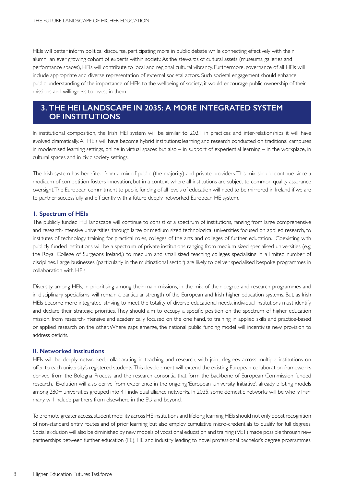HEIs will better inform political discourse, participating more in public debate while connecting effectively with their alumni, an ever growing cohort of experts within society. As the stewards of cultural assets (museums, galleries and performance spaces), HEIs will contribute to local and regional cultural vibrancy. Furthermore, governance of all HEIs will include appropriate and diverse representation of external societal actors. Such societal engagement should enhance public understanding of the importance of HEIs to the wellbeing of society; it would encourage public ownership of their missions and willingness to invest in them.

## **3. THE HEI LANDSCAPE IN 2035: A MORE INTEGRATED SYSTEM OF INSTITUTIONS**

In institutional composition, the Irish HEI system will be similar to 2021; in practices and inter-relationships it will have evolved dramatically. All HEIs will have become hybrid institutions: learning and research conducted on traditional campuses in modernised learning settings, online in virtual spaces but also – in support of experiential learning – in the workplace, in cultural spaces and in civic society settings.

The Irish system has benefited from a mix of public (the majority) and private providers.This mix should continue since a modicum of competition fosters innovation, but in a context where all institutions are subject to common quality assurance oversight. The European commitment to public funding of all levels of education will need to be mirrored in Ireland if we are to partner successfully and efficiently with a future deeply networked European HE system.

## **1. Spectrum of HEIs**

The publicly funded HEI landscape will continue to consist of a spectrum of institutions, ranging from large comprehensive and research-intensive universities, through large or medium sized technological universities focused on applied research, to institutes of technology training for practical roles, colleges of the arts and colleges of further education. Coexisting with publicly funded institutions will be a spectrum of private institutions ranging from medium sized specialised universities (e.g. the Royal College of Surgeons Ireland,) to medium and small sized teaching colleges specialising in a limited number of disciplines. Large businesses (particularly in the multinational sector) are likely to deliver specialised bespoke programmes in collaboration with HEIs.

Diversity among HEIs, in prioritising among their main missions, in the mix of their degree and research programmes and in disciplinary specialisms, will remain a particular strength of the European and Irish higher education systems. But, as Irish HEIs become more integrated, striving to meet the totality of diverse educational needs, individual institutions must identify and declare their strategic priorities.They should aim to occupy a specific position on the spectrum of higher education mission, from research-intensive and academically focused on the one hand, to training in applied skills and practice-based or applied research on the other. Where gaps emerge, the national public funding model will incentivise new provision to address deficits.

## **II. Networked institutions**

HEIs will be deeply networked, collaborating in teaching and research, with joint degrees across multiple institutions on offer to each university's registered students.This development will extend the existing European collaboration frameworks derived from the Bologna Process and the research consortia that form the backbone of European Commission funded research. Evolution will also derive from experience in the ongoing 'European University Initiative', already piloting models among 280+ universities grouped into 41 individual alliance networks. In 2035, some domestic networks will be wholly Irish; many will include partners from elsewhere in the EU and beyond.

To promote greater access, student mobility across HE institutions and lifelong learning HEIs should not only boost recognition of non-standard entry routes and of prior learning but also employ cumulative micro-credentials to qualify for full degrees. Social exclusion will also be diminished by new models of vocational education and training (VET) made possible through new partnerships between further education (FE), HE and industry leading to novel professional bachelor's degree programmes.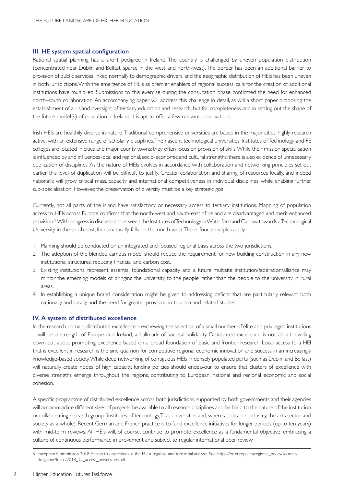#### **III. HE system spatial configuration**

Rational spatial planning has a short pedigree in Ireland. The country is challenged by uneven population distribution (concentrated near Dublin and Belfast, sparse in the west and north-west). The border has been an additional barrier to provision of public services linked normally to demographic drivers, and the geographic distribution of HEIs has been uneven in both jurisdictions. With the emergence of HEIs as premier enablers of regional success, calls for the creation of additional institutions have multiplied. Submissions to this exercise during the consultation phase confirmed the need for enhanced north–south collaboration. An accompanying paper will address this challenge in detail, as will a short paper proposing the establishment of all-island oversight of tertiary education and research, but for completeness and in setting out the shape of the future model(s) of education in Ireland, it is apt to offer a few relevant observations.

Irish HEIs are healthily diverse in nature. Traditional comprehensive universities are based in the major cities, highly research active, with an extensive range of scholarly disciplines. The nascent technological universities, Institutes of Technology and FE colleges are located in cities and major county towns; they often focus on provision of skills. While their mission specialisation is influenced by and influences local and regional, socio-economic and cultural strengths, there is also evidence of unnecessary duplication of disciplines. As the nature of HEIs evolves in accordance with collaboration and networking principles set out earlier, this level of duplication will be difficult to justify. Greater collaboration and sharing of resources locally, and indeed nationally, will grow critical mass, capacity and international competitiveness in individual disciplines, while enabling further sub-specialisation. However, the preservation of diversity must be a key strategic goal.

Currently, not all parts of the island have satisfactory or necessary access to tertiary institutions. Mapping of population access to HEIs across Europe confirms that the north-west and south-east of Ireland are disadvantaged and merit enhanced provision.5 With progress in discussions between the Institutes of Technology in Waterford and Carlow towards a Technological University in the south-east, focus naturally falls on the north-west. There, four principles apply:

- 1. Planning should be conducted on an integrated and focused regional basis across the two jurisdictions.
- 2. The adoption of the blended campus model should reduce the requirement for new building construction in any new institutional structures, reducing financial and carbon cost.
- 3. Existing institutions represent essential foundational capacity, and a future multisite institution/federation/alliance may mirror the emerging models of bringing the university to the people rather than the people to the university in rural areas.
- 4. In establishing a unique brand consideration might be given to addressing deficits that are particularly relevant both nationally and locally, and the need for greater provision in tourism and related studies.

## **IV. A system of distributed excellence**

In the research domain, distributed excellence – eschewing the selection of a small number of elite and privileged institutions – will be a strength of Europe and Ireland, a hallmark of societal solidarity. Distributed excellence is not about levelling down but about promoting excellence based on a broad foundation of basic and frontier research. Local access to a HEI that is excellent in research is the sine qua non for competitive regional economic innovation and success in an increasingly knowledge-based society. While deep networking of contiguous HEIs in densely populated parts (such as Dublin and Belfast) will naturally create nodes of high capacity, funding policies should endeavour to ensure that clusters of excellence with diverse strengths emerge throughout the regions, contributing to European, national and regional economic and social cohesion.

A specific programme of distributed excellence across both jurisdictions, supported by both governments and their agencies will accommodate different sizes of projects, be available to all research disciplines and be blind to the nature of the institution or collaborating research group (institutes of technology, TUs, universities and, where applicable, industry, the arts sector and society as a whole). Recent German and French practice is to fund excellence initiatives for longer periods (up to ten years) with mid-term reviews. All HEIs will, of course, continue to promote excellence as a fundamental objective, embracing a culture of continuous performance improvement and subject to regular international peer review.

9

<sup>5</sup> European Commission 2018 Access to universities in the EU: a regional and territorial analysis. See: https://ec.europa.eu/regional\_policy/sources/ docgener/focus/2018\_12\_access\_universities.pdf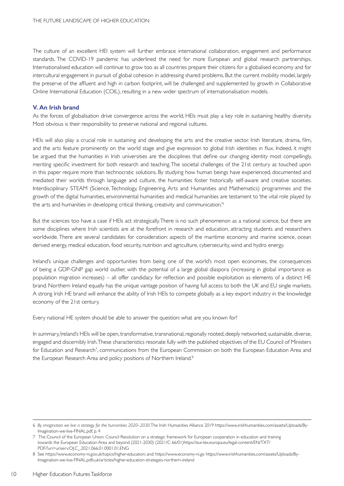The culture of an excellent HEI system will further embrace international collaboration, engagement and performance standards. The COVID-19 pandemic has underlined the need for more European and global research partnerships. Internationalised education will continue to grow too as all countries prepare their citizens for a globalised economy and for intercultural engagement in pursuit of global cohesion in addressing shared problems. But the current mobility model, largely the preserve of the affluent and high in carbon footprint, will be challenged and supplemented by growth in Collaborative Online International Education (COIL), resulting in a new wider spectrum of internationalisation models.

## **V. An Irish brand**

As the forces of globalisation drive convergence across the world, HEIs must play a key role in sustaining healthy diversity. Most obvious is their responsibility to preserve national and regional cultures.

HEIs will also play a crucial role in sustaining and developing the arts and the creative sector. Irish literature, drama, film, and the arts feature prominently on the world stage and give expression to global Irish identities in flux. Indeed, it might be argued that the humanities in Irish universities are the disciplines that define our changing identity most compellingly, meriting specific investment for both research and teaching.The societal challenges of the 21st century as touched upon in this paper require more than technocratic solutions. By studying how human beings have experienced, documented and mediated their worlds through language and culture, the humanities foster historically self-aware and creative societies. Interdisciplinary STEAM (Science, Technology, Engineering, Arts and Humanities and Mathematics) programmes and the growth of the digital humanities, environmental humanities and medical humanities are testament to 'the vital role played by the arts and humanities in developing critical thinking, creativity and communication.<sup>16</sup>

But the sciences too have a case if HEIs act strategically. There is no such phenomenon as a national science, but there are some disciplines where Irish scientists are at the forefront in research and education, attracting students and researchers worldwide. There are several candidates for consideration: aspects of the maritime economy and marine science, ocean derived energy, medical education, food security, nutrition and agriculture, cybersecurity, wind and hydro energy.

Ireland's unique challenges and opportunities from being one of the world's most open economies, the consequences of being a GDP-GNP gap world outlier, with the potential of a large global diaspora (increasing in global importance as population migration increases) – all offer candidacy for reflection and possible exploitation as elements of a distinct HE brand. Northern Ireland equally has the unique vantage position of having full access to both the UK and EU single markets. A strong Irish HE brand will enhance the ability of Irish HEIs to compete globally as a key export industry in the knowledge economy of the 21st century.

Every national HE system should be able to answer the question: what are you known for?

In summary, Ireland's HEIs will be open, transformative, transnational, regionally rooted, deeply networked, sustainable, diverse, engaged and discernibly Irish. These characteristics resonate fully with the published objectives of the EU Council of Ministers for Education and Research<sup>7</sup>, communications from the European Commission on both the European Education Area and the European Research Area and policy positions of Northern Ireland.<sup>8</sup>

<sup>6</sup> *By imagination we live: a strategy for the humanities 2020–2030*.The Irish Humanities Alliance 2019 https://www.irishhumanities.com/assets/Uploads/By-Imagination-we-live-FINAL.pdf, p. 4

<sup>7</sup> The Council of the European Union. Council Resolution on a strategic framework for European cooperation in education and training towards the European Education Area and beyond (2021-2030) (2021/C 66/01)https://eur-lex.europa.eu/legal-content/EN/TXT/ PDF/?uri=uriserv:OJ.C\_.2021.066.01.0001.01.ENG

<sup>8</sup> See https://www.economy-ni.gov.uk/topics/higher-education; and: https://www.economy-ni.go https://www.irishhumanities.com/assets/Uploads/By-Imagination-we-live-FINAL.pdfv.uk/articles/higher-education-strategies-northern-ireland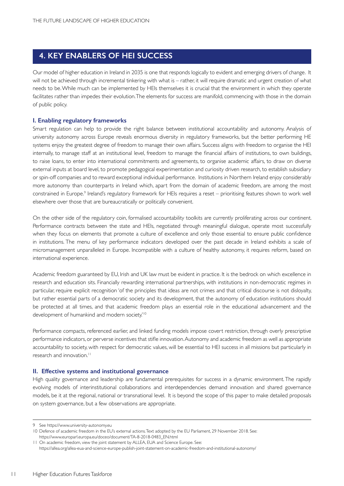## **4. KEY ENABLERS OF HEI SUCCESS**

Our model of higher education in Ireland in 2035 is one that responds logically to evident and emerging drivers of change. It will not be achieved through incremental tinkering with what is – rather, it will require dramatic and urgent creation of what needs to be. While much can be implemented by HEIs themselves it is crucial that the environment in which they operate facilitates rather than impedes their evolution. The elements for success are manifold, commencing with those in the domain of public policy.

## **I. Enabling regulatory frameworks**

Smart regulation can help to provide the right balance between institutional accountability and autonomy. Analysis of university autonomy across Europe reveals enormous diversity in regulatory frameworks, but the better performing HE systems enjoy the greatest degree of freedom to manage their own affairs. Success aligns with freedom to organise the HEI internally, to manage staff at an institutional level, freedom to manage the financial affairs of institutions, to own buildings, to raise loans, to enter into international commitments and agreements, to organise academic affairs, to draw on diverse external inputs at board level, to promote pedagogical experimentation and curiosity driven research, to establish subsidiary or spin-off companies and to reward exceptional individual performance. Institutions in Northern Ireland enjoy considerably more autonomy than counterparts in Ireland which, apart from the domain of academic freedom, are among the most constrained in Europe.<sup>9</sup> Ireland's regulatory framework for HEIs requires a reset – prioritising features shown to work well elsewhere over those that are bureaucratically or politically convenient.

On the other side of the regulatory coin, formalised accountability toolkits are currently proliferating across our continent. Performance contracts between the state and HEIs, negotiated through meaningful dialogue, operate most successfully when they focus on elements that promote a culture of excellence and only those essential to ensure public confidence in institutions. The menu of key performance indicators developed over the past decade in Ireland exhibits a scale of micromanagement unparalleled in Europe. Incompatible with a culture of healthy autonomy, it requires reform, based on international experience.

Academic freedom guaranteed by EU, Irish and UK law must be evident in practice. It is the bedrock on which excellence in research and education sits. Financially rewarding international partnerships, with institutions in non-democratic regimes in particular, require explicit recognition 'of the principles that ideas are not crimes and that critical discourse is not disloyalty, but rather essential parts of a democratic society and its development, that the autonomy of education institutions should be protected at all times, and that academic freedom plays an essential role in the educational advancement and the development of humankind and modern society.<sup>10</sup>

Performance compacts, referenced earlier, and linked funding models impose covert restriction, through overly prescriptive performance indicators, or perverse incentives that stifle innovation.Autonomy and academic freedom as well as appropriate accountability to society, with respect for democratic values, will be essential to HEI success in all missions but particularly in research and innovation.<sup>11</sup>

#### **II. Effective systems and institutional governance**

High quality governance and leadership are fundamental prerequisites for success in a dynamic environment. The rapidly evolving models of interinstitutional collaborations and interdependencies demand innovation and shared governance models, be it at the regional, national or transnational level. It is beyond the scope of this paper to make detailed proposals on system governance, but a few observations are appropriate.

<sup>9</sup> See https://www.university-autonomy.eu

<sup>10</sup> Defence of academic freedom in the EU's external actions. Text adopted by the EU Parliament, 29 November 2018. See: https://www.europarl.europa.eu/doceo/document/TA-8-2018-0483\_EN.html

<sup>11</sup> On academic freedom, view the joint statement by ALLEA, EUA and Science Europe. See: https://allea.org/allea-eua-and-science-europe-publish-joint-statement-on-academic-freedom-and-institutional-autonomy/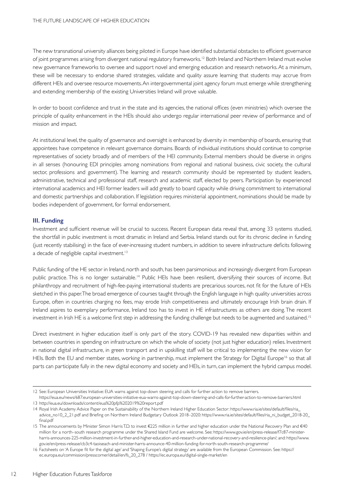The new transnational university alliances being piloted in Europe have identified substantial obstacles to efficient governance of joint programmes arising from divergent national regulatory frameworks.<sup>12</sup> Both Ireland and Northern Ireland must evolve new governance frameworks to oversee and support novel and emerging education and research networks. At a minimum, these will be necessary to endorse shared strategies, validate and quality assure learning that students may accrue from different HEIs and oversee resource movements. An intergovernmental joint agency forum must emerge while strengthening and extending membership of the existing Universities Ireland will prove valuable.

In order to boost confidence and trust in the state and its agencies, the national offices (even ministries) which oversee the principle of quality enhancement in the HEIs should also undergo regular international peer review of performance and of mission and impact.

At institutional level, the quality of governance and oversight is enhanced by diversity in membership of boards, ensuring that appointees have competence in relevant governance domains. Boards of individual institutions should continue to comprise representatives of society broadly and of members of the HEI community. External members should be diverse in origins in all senses (honouring EDI principles among nominations from regional and national business, civic society, the cultural sector, professions and government). The learning and research community should be represented by student leaders, administrative, technical and professional staff, research and academic staff, elected by peers. Participation by experienced international academics and HEI former leaders will add greatly to board capacity while driving commitment to international and domestic partnerships and collaboration. If legislation requires ministerial appointment, nominations should be made by bodies independent of government, for formal endorsement.

#### **III. Funding**

Investment and sufficient revenue will be crucial to success. Recent European data reveal that, among 33 systems studied, the shortfall in public investment is most dramatic in Ireland and Serbia. Ireland stands out for its chronic decline in funding (just recently stabilising) in the face of ever-increasing student numbers, in addition to severe infrastructure deficits following a decade of negligible capital investment.<sup>13</sup>

Public funding of the HE sector in Ireland, north and south, has been parsimonious and increasingly divergent from European public practice. This is no longer sustainable.<sup>14</sup> Public HEIs have been resilient, diversifying their sources of income. But philanthropy and recruitment of high-fee-paying international students are precarious sources, not fit for the future of HEIs sketched in this paper. The broad emergence of courses taught through the English language in high quality universities across Europe, often in countries charging no fees, may erode Irish competitiveness and ultimately encourage Irish brain drain. If Ireland aspires to exemplary performance, Ireland too has to invest in HE infrastructures as others are doing. The recent investment in Irish HE is a welcome first step in addressing the funding challenge but needs to be augmented and sustained.<sup>15</sup>

Direct investment in higher education itself is only part of the story. COVID-19 has revealed new disparities within and between countries in spending on infrastructure on which the whole of society (not just higher education) relies. Investment in national digital infrastructure, in green transport and in upskilling staff will be critical to implementing the new vision for HEIs. Both the EU and member states, working in partnership, must implement the Strategy for Digital Europe<sup>16</sup> so that all parts can participate fully in the new digital economy and society and HEIs, in turn, can implement the hybrid campus model.

<sup>12</sup> See: European Universities Initiative: EUA warns against top-down steering and calls for further action to remove barriers.

https://eua.eu/news/687:european-universities-initiative-eua-warns-against-top-down-steering-and-calls-for-further-action-to-remove-barriers.html 13 http://eua.eu/downloads/content/eua%20pfp%202019%20repor t.pdf

<sup>14</sup> Royal Irish Academy Advice Paper on the Sustainability of the Northern Ireland Higher Education Sector: https://www.ria.ie/sites/default/files/ria\_ advice\_no10\_2\_21.pdf and Briefing on Nor thern Ireland Budgetary Outlook 2018–2020: https://www.ria.ie/sites/default/files/ria\_ni\_budget\_2018-20\_ final.pdf

<sup>15</sup> The announcements by Minister Simon Harris T.D. to invest €225 million in further and higher education under the National Recovery Plan and €40 million for a north–south research programme under the Shared Island Fund are welcome. See: https://www.gov.ie/en/press-release/f7c87-ministerharris-announces-225-million-investment-in-further-and-higher-education-and-research-under-national-recovery-and-resilience-plan/; and: https://www. gov.ie/en/press-release/cb3c4-taoiseach-and-minister-harris-announce-40-million-funding-for-north-south-research-programme/

<sup>16</sup> Factsheets on 'A Europe fit for the digital age' and 'Shaping Europe's digital strategy' are available from the European Commission. See: https:// ec.europa.eu/commission/presscorner/detail/en/fs\_20\_278 / https://ec.europa.eu/digital-single-market/en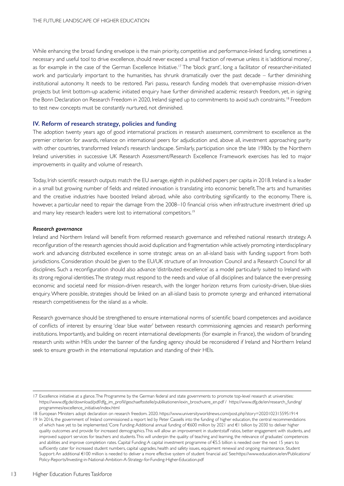While enhancing the broad funding envelope is the main priority, competitive and performance-linked funding, sometimes a necessary and useful tool to drive excellence, should never exceed a small fraction of revenue unless it is'additional money', as for example in the case of the German Excellence Initiative.<sup>17</sup> The 'block grant', long a facilitator of researcher-initiated work and particularly important to the humanities, has shrunk dramatically over the past decade – further diminishing institutional autonomy. It needs to be restored. Pari passu, research funding models that over-emphasise mission-driven projects but limit bottom-up academic initiated enquiry have further diminished academic research freedom, yet, in signing the Bonn Declaration on Research Freedom in 2020, Ireland signed up to commitments to avoid such constraints.<sup>18</sup> Freedom to test new concepts must be constantly nurtured, not diminished.

#### **IV. Reform of research strategy, policies and funding**

The adoption twenty years ago of good international practices in research assessment, commitment to excellence as the premier criterion for awards, reliance on international peers for adjudication and, above all, investment approaching parity with other countries, transformed Ireland's research landscape. Similarly, participation since the late 1980s by the Northern Ireland universities in successive UK Research Assessment/Research Excellence Framework exercises has led to major improvements in quality and volume of research.

Today, Irish scientific research outputs match the EU average, eighth in published papers per capita in 2018. Ireland is a leader in a small but growing number of fields and related innovation is translating into economic benefit. The arts and humanities and the creative industries have boosted Ireland abroad, while also contributing significantly to the economy. There is, however, a particular need to repair the damage from the 2008–10 financial crisis when infrastructure investment dried up and many key research leaders were lost to international competitors.<sup>19</sup>

#### *Research governance*

Ireland and Northern Ireland will benefit from reformed research governance and refreshed national research strategy. A reconfiguration of the research agencies should avoid duplication and fragmentation while actively promoting interdisciplinary work and advancing distributed excellence in some strategic areas on an all-island basis with funding support from both jurisdictions. Consideration should be given to the EU/UK structure of an Innovation Council and a Research Council for all disciplines. Such a reconfiguration should also advance 'distributed excellence' as a model par ticularly suited to Ireland with its strong regional identities. The strategy must respond to the needs and value of all disciplines and balance the ever-pressing economic and societal need for mission-driven research, with the longer horizon returns from curiosity-driven, blue-skies enquiry. Where possible, strategies should be linked on an all-island basis to promote synergy and enhanced international research competitiveness for the island as a whole.

Research governance should be strengthened to ensure international norms of scientific board competences and avoidance of conflicts of interest by ensuring 'clear blue water' between research commissioning agencies and research performing institutions. Importantly, and building on recent international developments (for example in France), the wisdom of branding research units within HEIs under the banner of the funding agency should be reconsidered if Ireland and Northern Ireland seek to ensure growth in the international reputation and standing of their HEIs.

<sup>17</sup> Excellence initiative at a glance. The Programme by the German federal and state governments to promote top-level research at universities: https://www.dfg.de/download/pdf/dfg\_im\_profil/geschaeftsstelle/publikationen/exin\_broschuere\_en.pdf / https://www.dfg.de/en/research\_funding/ programmes/excellence\_initiative/index.html

<sup>18</sup> European Ministers adopt declaration on research freedom. 2020. https://www.universityworldnews.com/post.php?story=20201023155951914

<sup>19</sup> In 2016, the government of Ireland commissioned a report led by Peter Cassells into the funding of higher education, the central recommendations of which have yet to be implemented. 'Core Funding:Additional annual funding of €600 million by 2021 and €1 billion by 2030 to deliver higher quality outcomes and provide for increased demographics. This will allow an improvement in student:staff ratios, better engagement with students, and improved support services for teachers and students. This will underpin the quality of teaching and learning, the relevance of graduates' competences and abilities and improve completion rates. Capital Funding: A capital investment programme of €5.5 billion is needed over the next 15 years to sufficiently cater for increased student numbers, capital upgrades, health and safety issues, equipment renewal and ongoing maintenance. Student Support: An additional €100 million is needed to deliver a more effective system of student financial aid.' See:https://www.education.ie/en/Publications/ Policy-Reports/Investing-in-National-Ambition-A-Strategy-for-Funding-Higher-Education.pdf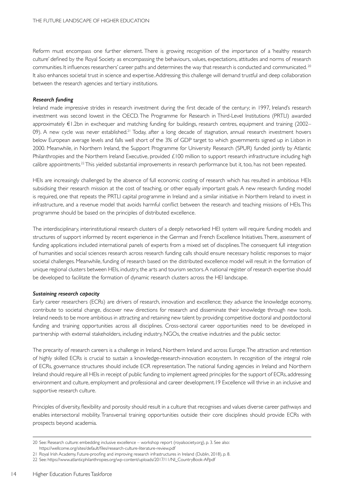Reform must encompass one further element. There is growing recognition of the importance of a 'healthy research culture' defined by the Royal Society as encompassing the behaviours, values, expectations, attitudes and norms of research communities. It influences researchers' career paths and determines the way that research is conducted and communicated. <sup>20</sup> It also enhances societal trust in science and expertise. Addressing this challenge will demand trustful and deep collaboration between the research agencies and tertiary institutions.

#### *Research funding*

Ireland made impressive strides in research investment during the first decade of the century; in 1997, Ireland's research investment was second lowest in the OECD. The Programme for Research in Third-Level Institutions (PRTLI) awarded approximately €1.2bn in exchequer and matching funding for buildings, research centres, equipment and training (2002– 09). A new cycle was never established.<sup>21</sup> Today, after a long decade of stagnation, annual research investment hovers below European average levels and falls well short of the 3% of GDP target to which governments signed up in Lisbon in 2000. Meanwhile, in Northern Ireland, the Support Programme for University Research (SPUR) funded jointly by Atlantic Philanthropies and the Northern Ireland Executive, provided £100 million to support research infrastructure including high calibre appointments.<sup>22</sup> This yielded substantial improvements in research performance but it, too, has not been repeated.

HEIs are increasingly challenged by the absence of full economic costing of research which has resulted in ambitious HEIs subsidising their research mission at the cost of teaching, or other equally important goals. A new research funding model is required, one that repeats the PRTLI capital programme in Ireland and a similar initiative in Northern Ireland to invest in infrastructure, and a revenue model that avoids harmful conflict between the research and teaching missions of HEIs.This programme should be based on the principles of distributed excellence.

The interdisciplinary, interinstitutional research clusters of a deeply networked HEI system will require funding models and structures of support informed by recent experience in the German and French Excellence Initiatives. There, assessment of funding applications included international panels of experts from a mixed set of disciplines. The consequent full integration of humanities and social sciences research across research funding calls should ensure necessary holistic responses to major societal challenges. Meanwhile, funding of research based on the distributed excellence model will result in the formation of unique regional clusters between HEIs, industry, the arts and tourism sectors. A national register of research expertise should be developed to facilitate the formation of dynamic research clusters across the HEI landscape.

#### *Sustaining research capacity*

Early career researchers (ECRs) are drivers of research, innovation and excellence; they advance the knowledge economy, contribute to societal change, discover new directions for research and disseminate their knowledge through new tools. Ireland needs to be more ambitious in attracting and retaining new talent by providing competitive doctoral and postdoctoral funding and training opportunities across all disciplines. Cross-sectoral career opportunities need to be developed in partnership with external stakeholders, including industry, NGOs, the creative industries and the public sector.

The precarity of research careers is a challenge in Ireland, Northern Ireland and across Europe. The attraction and retention of highly skilled ECRs is crucial to sustain a knowledge-research-innovation ecosystem. In recognition of the integral role of ECRs, governance structures should include ECR representation. The national funding agencies in Ireland and Northern Ireland should require all HEIs in receipt of public funding to implement agreed principles for the support of ECRs, addressing environment and culture, employment and professional and career development.19 Excellence will thrive in an inclusive and supportive research culture.

Principles of diversity, flexibility and porosity should result in a culture that recognises and values diverse career pathways and enables intersectoral mobility. Transversal training opportunities outside their core disciplines should provide ECRs with prospects beyond academia.

<sup>20</sup> See: Research culture: embedding inclusive excellence – workshop report (royalsociety.org), p. 3. See also:

https://wellcome.org/sites/default/files/research-culture-literature-review.pdf

<sup>21</sup> Royal Irish Academy, Future-proofing and improving research infrastructures in Ireland (Dublin, 2018), p. 8.

<sup>22</sup> See: https://www.atlanticphilanthropies.org/wp-content/uploads/2017/11/NI\_CountryBook-AP.pdf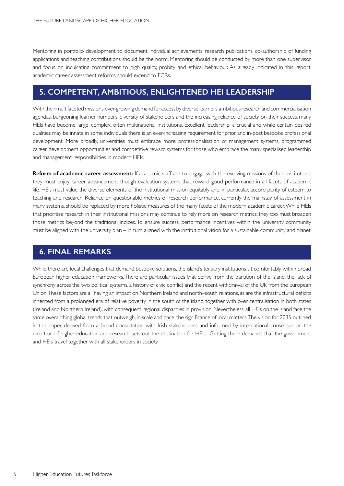Mentoring in portfolio development to document individual achievements, research publications, co-authorship of funding applications and teaching contributions should be the norm. Mentoring should be conducted by more than one supervisor and focus on inculcating commitment to high quality, probity and ethical behaviour. As already indicated in this report, academic career assessment reforms should extend to ECRs.

## **5. COMPETENT, AMBITIOUS, ENLIGHTENED HEI LEADERSHIP**

With their multifaceted missions, ever-growing demand for access by diverse learners, ambitious research and commercialisation agendas, burgeoning learner numbers, diversity of stakeholders and the increasing reliance of society on their success, many HEIs have become large, complex, often multinational institutions. Excellent leadership is crucial and while certain desired qualities may be innate in some individuals there is an ever-increasing requirement for prior and in-post bespoke professional development. More broadly, universities must embrace more professionalisation of management systems, programmed career development opportunities and competitive reward systems for those who embrace the many specialised leadership and management responsibilities in modern HEIs.

**Reform of academic career assessment:** If academic staff are to engage with the evolving missions of their institutions, they must enjoy career advancement though evaluation systems that reward good performance in all facets of academic life. HEIs must value the diverse elements of the institutional mission equitably and, in particular, accord parity of esteem to teaching and research. Reliance on questionable metrics of research performance, currently the mainstay of assessment in many systems, should be replaced by more holistic measures of the many facets of the modern academic career. While HEIs that prioritise research in their institutional missions may continue to rely more on research metrics, they too must broaden those metrics beyond the traditional indices. To ensure success, performance incentives within the university community must be aligned with the university plan – in turn aligned with the institutional vision for a sustainable community and planet.

## **6. FINAL REMARKS**

While there are local challenges that demand bespoke solutions, the island's tertiary institutions sit comfortably within broad European higher education frameworks. There are particular issues that derive from the partition of the island, the lack of synchrony across the two political systems, a history of civic conflict and the recent withdrawal of the UK from the European Union.These factors are all having an impact on Northern Ireland and north–south relations, as are the infrastructural deficits inherited from a prolonged era of relative poverty in the south of the island, together with over centralisation in both states (Ireland and Northern Ireland), with consequent regional disparities in provision. Nevertheless, all HEIs on the island face the same overarching global trends that outweigh, in scale and pace, the significance of local matters.The vision for 2035 outlined in this paper, derived from a broad consultation with Irish stakeholders and informed by international consensus on the direction of higher education and research, sets out the destination for HEIs. Getting there demands that the government and HEIs travel together with all stakeholders in society.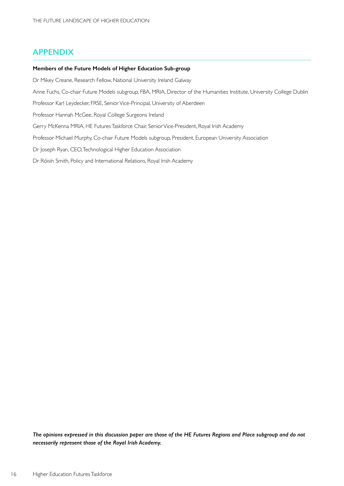## **APPENDIX**

#### **Members of the Future Models of Higher Education Sub-group**

Dr Mikey Creane, Research Fellow, National University Ireland Galway

Anne Fuchs, Co-chair Future Models subgroup, FBA, MRIA, Director of the Humanities Institute, University College Dublin

Professor Karl Leydecker, FRSE, Senior Vice-Principal, University of Aberdeen

Professor Hannah McGee, Royal College Surgeons Ireland

Gerry McKenna MRIA, HE Futures Taskforce Chair, Senior Vice-President, Royal Irish Academy

Professor Michael Murphy, Co-chair Future Models subgroup, President, European University Association

Dr Joseph Ryan, CEO, Technological Higher Education Association

Dr Róisín Smith, Policy and International Relations, Royal Irish Academy

*The opinions expressed in this discussion paper are those of the HE Futures Regions and Place subgroup and do not necessarily represent those of the Royal Irish Academy.*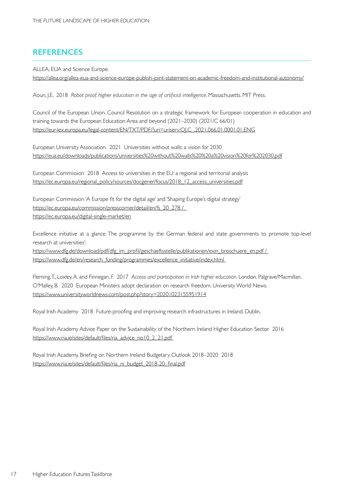## **REFERENCES**

ALLEA, EUA and Science Europe.

https://allea.org/allea-eua-and-science-europe-publish-joint-statement-on-academic-freedom-and-institutional-autonomy/

Aoun, J.E. 2018 *Robot proof: higher education in the age of artificial intelligence*. Massachusetts. MIT Press.

Council of the European Union. Council Resolution on a strategic framework for European cooperation in education and training towards the European Education Area and beyond (2021–2030) (2021/C 66/01) https://eur-lex.europa.eu/legal-content/EN/TXT/PDF/?uri=uriserv:OJ.C\_.2021.066.01.0001.01.ENG

European University Association. 2021 Universities without walls: a vision for 2030 https://eua.eu/downloads/publications/universities%20without%20walls%20%20a%20vision%20for%202030.pdf

European Commission 2018 Access to universities in the EU: a regional and territorial analysis https://ec.europa.eu/regional\_policy/sources/docgener/focus/2018\_12\_access\_universities.pdf

European Commission 'A Europe fit for the digital age' and 'Shaping Europe's digital strategy' https://ec.europa.eu/commission/presscorner/detail/en/fs\_20\_278 / https://ec.europa.eu/digital-single-market/en

Excellence initiative at a glance. The programme by the German federal and state governments to promote top-level research at universities':

https://www.dfg.de/download/pdf/dfg\_im\_profil/geschaeftsstelle/publikationen/exin\_broschuere\_en.pdf / https://www.dfg.de/en/research\_funding/programmes/excellence\_initiative/index.html

Fleming, T., Loxley, A. and Finnegan, F. 2017 *Access and participation in Irish higher education*. London. Palgrave/Macmillan. O'Malley, B. 2020 European Ministers adopt declaration on research freedom. University World News. https://www.universityworldnews.com/post.php?story=20201023155951914

Royal Irish Academy 2018 Future-proofing and improving research infrastructures in Ireland. Dublin.

Royal Irish Academy Advice Paper on the Sustainability of the Northern Ireland Higher Education Sector 2016 https://www.ria.ie/sites/default/files/ria\_advice\_no10\_2\_21.pdf

Royal Irish Academy. Briefing on Nor thern Ireland Budgetary Outlook 2018–2020 2018 https://www.ria.ie/sites/default/files/ria\_ni\_budget\_2018-20\_final.pdf